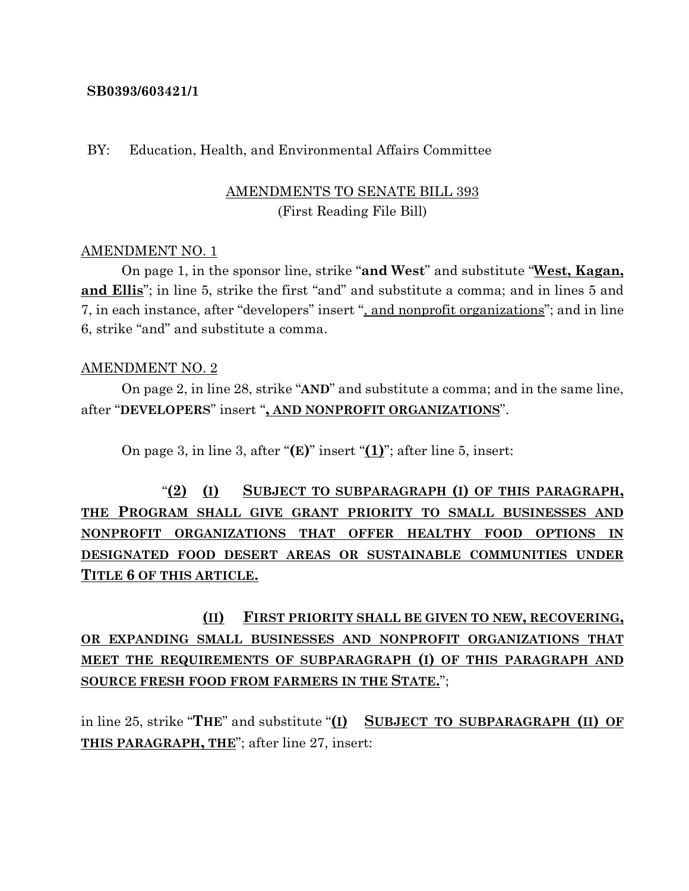### **SB0393/603421/1**

#### BY: Education, Health, and Environmental Affairs Committee

## AMENDMENTS TO SENATE BILL 393 (First Reading File Bill)

### AMENDMENT NO. 1

On page 1, in the sponsor line, strike "**and West**" and substitute "**West, Kagan, and Ellis**"; in line 5, strike the first "and" and substitute a comma; and in lines 5 and 7, in each instance, after "developers" insert ", and nonprofit organizations"; and in line 6, strike "and" and substitute a comma.

#### AMENDMENT NO. 2

On page 2, in line 28, strike "**AND**" and substitute a comma; and in the same line, after "**DEVELOPERS**" insert "**, AND NONPROFIT ORGANIZATIONS**".

On page 3, in line 3, after "**(E)**" insert "**(1)**"; after line 5, insert:

"**(2) (I) SUBJECT TO SUBPARAGRAPH (I) OF THIS PARAGRAPH, THE PROGRAM SHALL GIVE GRANT PRIORITY TO SMALL BUSINESSES AND NONPROFIT ORGANIZATIONS THAT OFFER HEALTHY FOOD OPTIONS IN DESIGNATED FOOD DESERT AREAS OR SUSTAINABLE COMMUNITIES UNDER TITLE 6 OF THIS ARTICLE.**

**(II) FIRST PRIORITY SHALL BE GIVEN TO NEW, RECOVERING, OR EXPANDING SMALL BUSINESSES AND NONPROFIT ORGANIZATIONS THAT MEET THE REQUIREMENTS OF SUBPARAGRAPH (I) OF THIS PARAGRAPH AND SOURCE FRESH FOOD FROM FARMERS IN THE STATE.**";

in line 25, strike "**THE**" and substitute "**(I) SUBJECT TO SUBPARAGRAPH (II) OF THIS PARAGRAPH, THE**"; after line 27, insert: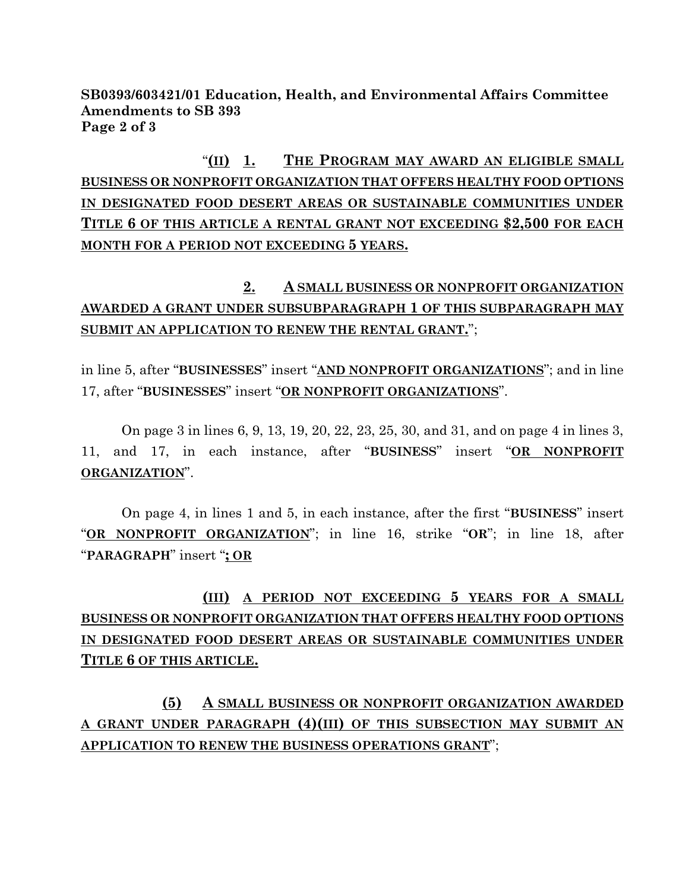**SB0393/603421/01 Education, Health, and Environmental Affairs Committee Amendments to SB 393 Page 2 of 3**

"**(II) 1. THE PROGRAM MAY AWARD AN ELIGIBLE SMALL BUSINESS OR NONPROFIT ORGANIZATION THAT OFFERS HEALTHY FOOD OPTIONS IN DESIGNATED FOOD DESERT AREAS OR SUSTAINABLE COMMUNITIES UNDER TITLE 6 OF THIS ARTICLE A RENTAL GRANT NOT EXCEEDING \$2,500 FOR EACH MONTH FOR A PERIOD NOT EXCEEDING 5 YEARS.**

# **2. A SMALL BUSINESS OR NONPROFIT ORGANIZATION AWARDED A GRANT UNDER SUBSUBPARAGRAPH 1 OF THIS SUBPARAGRAPH MAY SUBMIT AN APPLICATION TO RENEW THE RENTAL GRANT.**";

in line 5, after "**BUSINESSES**" insert "**AND NONPROFIT ORGANIZATIONS**"; and in line 17, after "**BUSINESSES**" insert "**OR NONPROFIT ORGANIZATIONS**".

On page 3 in lines 6, 9, 13, 19, 20, 22, 23, 25, 30, and 31, and on page 4 in lines 3, 11, and 17, in each instance, after "**BUSINESS**" insert "**OR NONPROFIT ORGANIZATION**".

On page 4, in lines 1 and 5, in each instance, after the first "**BUSINESS**" insert "**OR NONPROFIT ORGANIZATION**"; in line 16, strike "**OR**"; in line 18, after "**PARAGRAPH**" insert "**; OR**

# **(III) A PERIOD NOT EXCEEDING 5 YEARS FOR A SMALL BUSINESS OR NONPROFIT ORGANIZATION THAT OFFERS HEALTHY FOOD OPTIONS IN DESIGNATED FOOD DESERT AREAS OR SUSTAINABLE COMMUNITIES UNDER TITLE 6 OF THIS ARTICLE.**

**(5) A SMALL BUSINESS OR NONPROFIT ORGANIZATION AWARDED A GRANT UNDER PARAGRAPH (4)(III) OF THIS SUBSECTION MAY SUBMIT AN APPLICATION TO RENEW THE BUSINESS OPERATIONS GRANT**";